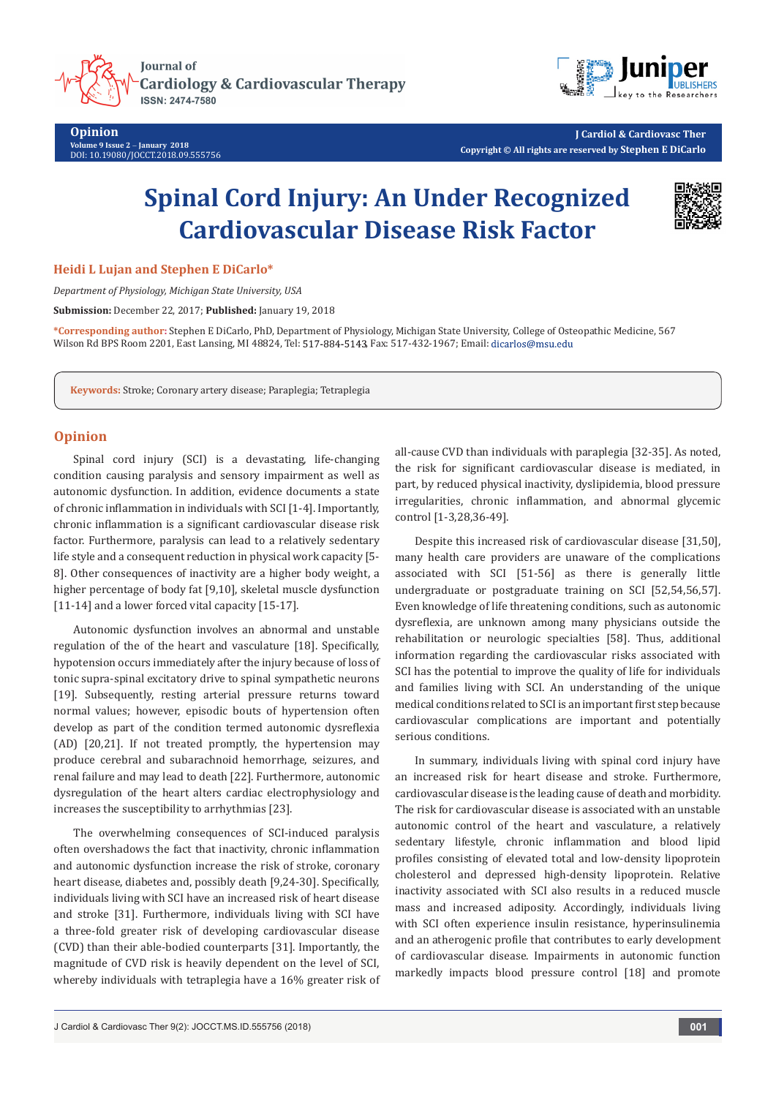

**Opinion**

**Volume 9 Issue 2** - **January 2018** DOI: [10.19080/JOCCT.2018.09.555756](http://dx.doi.org/10.19080/JOCCT.2018.09.555756)



**J Cardiol & Cardiovasc Ther Copyright © All rights are reserved by Stephen E DiCarlo**

# **Spinal Cord Injury: An Under Recognized Cardiovascular Disease Risk Factor**



**Heidi L Lujan and Stephen E DiCarlo\***

*Department of Physiology, Michigan State University, USA*

**Submission:** December 22, 2017; **Published:** January 19, 2018

**\*Corresponding author:** Stephen E DiCarlo, PhD, Department of Physiology, Michigan State University, College of Osteopathic Medicine, 567 Wilson Rd BPS Room 2201, East Lansing, MI 48824, Tel: 517-884-5143, Fax: 517-432-1967; Email: dicarlos@msu.edu

**Keywords:** Stroke; Coronary artery disease; Paraplegia; Tetraplegia

## **Opinion**

Spinal cord injury (SCI) is a devastating, life-changing condition causing paralysis and sensory impairment as well as autonomic dysfunction. In addition, evidence documents a state of chronic inflammation in individuals with SCI [1-4]. Importantly, chronic inflammation is a significant cardiovascular disease risk factor. Furthermore, paralysis can lead to a relatively sedentary life style and a consequent reduction in physical work capacity [5- 8]. Other consequences of inactivity are a higher body weight, a higher percentage of body fat [9,10], skeletal muscle dysfunction [11-14] and a lower forced vital capacity [15-17].

Autonomic dysfunction involves an abnormal and unstable regulation of the of the heart and vasculature [18]. Specifically, hypotension occurs immediately after the injury because of loss of tonic supra-spinal excitatory drive to spinal sympathetic neurons [19]. Subsequently, resting arterial pressure returns toward normal values; however, episodic bouts of hypertension often develop as part of the condition termed autonomic dysreflexia (AD) [20,21]. If not treated promptly, the hypertension may produce cerebral and subarachnoid hemorrhage, seizures, and renal failure and may lead to death [22]. Furthermore, autonomic dysregulation of the heart alters cardiac electrophysiology and increases the susceptibility to arrhythmias [23].

The overwhelming consequences of SCI-induced paralysis often overshadows the fact that inactivity, chronic inflammation and autonomic dysfunction increase the risk of stroke, coronary heart disease, diabetes and, possibly death [9,24-30]. Specifically, individuals living with SCI have an increased risk of heart disease and stroke [31]. Furthermore, individuals living with SCI have a three-fold greater risk of developing cardiovascular disease (CVD) than their able-bodied counterparts [31]. Importantly, the magnitude of CVD risk is heavily dependent on the level of SCI, whereby individuals with tetraplegia have a 16% greater risk of all-cause CVD than individuals with paraplegia [32-35]. As noted, the risk for significant cardiovascular disease is mediated, in part, by reduced physical inactivity, dyslipidemia, blood pressure irregularities, chronic inflammation, and abnormal glycemic control [1-3,28,36-49].

Despite this increased risk of cardiovascular disease [31,50], many health care providers are unaware of the complications associated with SCI [51-56] as there is generally little undergraduate or postgraduate training on SCI [52,54,56,57]. Even knowledge of life threatening conditions, such as autonomic dysreflexia, are unknown among many physicians outside the rehabilitation or neurologic specialties [58]. Thus, additional information regarding the cardiovascular risks associated with SCI has the potential to improve the quality of life for individuals and families living with SCI. An understanding of the unique medical conditions related to SCI is an important first step because cardiovascular complications are important and potentially serious conditions.

In summary, individuals living with spinal cord injury have an increased risk for heart disease and stroke. Furthermore, cardiovascular disease is the leading cause of death and morbidity. The risk for cardiovascular disease is associated with an unstable autonomic control of the heart and vasculature, a relatively sedentary lifestyle, chronic inflammation and blood lipid profiles consisting of elevated total and low-density lipoprotein cholesterol and depressed high-density lipoprotein. Relative inactivity associated with SCI also results in a reduced muscle mass and increased adiposity. Accordingly, individuals living with SCI often experience insulin resistance, hyperinsulinemia and an atherogenic profile that contributes to early development of cardiovascular disease. Impairments in autonomic function markedly impacts blood pressure control [18] and promote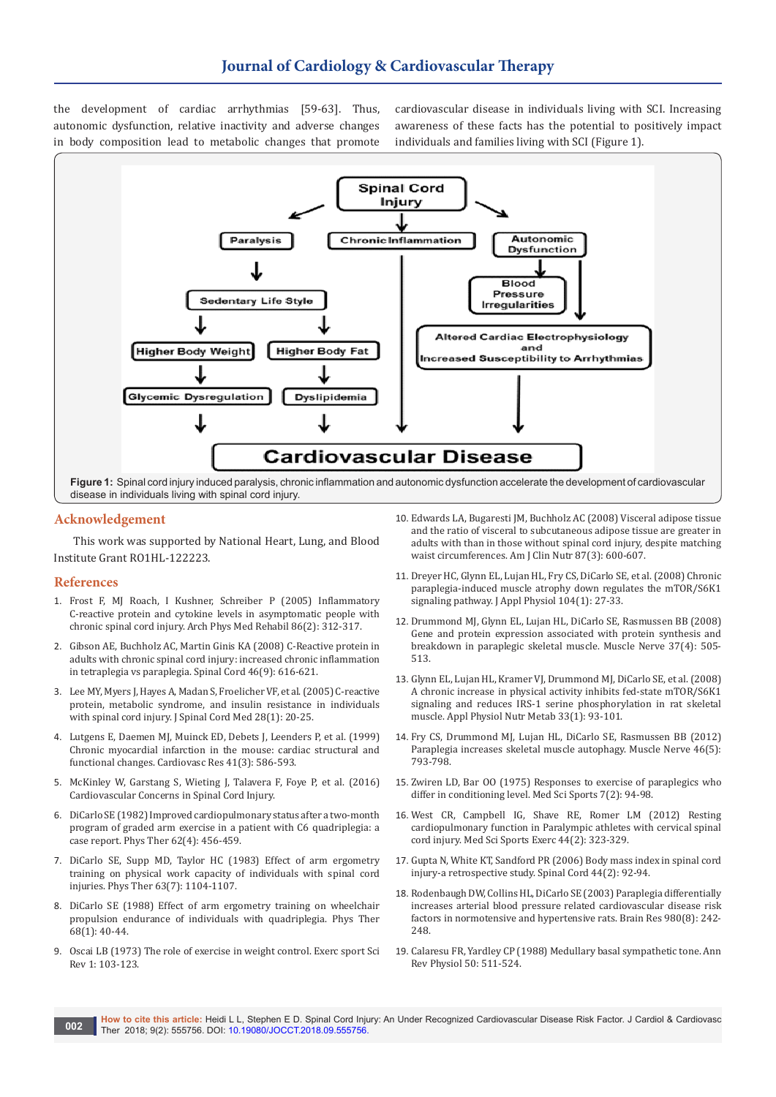the development of cardiac arrhythmias [59-63]. Thus, autonomic dysfunction, relative inactivity and adverse changes in body composition lead to metabolic changes that promote cardiovascular disease in individuals living with SCI. Increasing awareness of these facts has the potential to positively impact individuals and families living with SCI (Figure 1).



## **Acknowledgement**

This work was supported by National Heart, Lung, and Blood Institute Grant RO1HL-122223.

### **References**

- 1. [Frost F, MJ Roach, I Kushner, Schreiber P \(2005\) Inflammatory](https://www.ncbi.nlm.nih.gov/pubmed/15706560)  [C-reactive protein and cytokine levels in asymptomatic people with](https://www.ncbi.nlm.nih.gov/pubmed/15706560)  [chronic spinal cord injury. Arch Phys Med Rehabil 86\(2\): 312-317.](https://www.ncbi.nlm.nih.gov/pubmed/15706560)
- 2. [Gibson AE, Buchholz AC, Martin Ginis KA \(2008\) C-Reactive protein in](https://www.ncbi.nlm.nih.gov/pubmed/18414426)  [adults with chronic spinal cord injury: increased chronic inflammation](https://www.ncbi.nlm.nih.gov/pubmed/18414426)  [in tetraplegia vs paraplegia. Spinal Cord 46\(9\): 616-621.](https://www.ncbi.nlm.nih.gov/pubmed/18414426)
- 3. [Lee MY, Myers J, Hayes A, Madan S, Froelicher VF, et al. \(2005\) C-reactive](https://www.ncbi.nlm.nih.gov/pubmed/15832900)  [protein, metabolic syndrome, and insulin resistance in individuals](https://www.ncbi.nlm.nih.gov/pubmed/15832900)  [with spinal cord injury. J Spinal Cord Med 28\(1\): 20-25.](https://www.ncbi.nlm.nih.gov/pubmed/15832900)
- 4. [Lutgens E, Daemen MJ, Muinck ED, Debets J, Leenders P, et al. \(1999\)](https://www.ncbi.nlm.nih.gov/pubmed/10435030)  [Chronic myocardial infarction in the mouse: cardiac structural and](https://www.ncbi.nlm.nih.gov/pubmed/10435030)  [functional changes. Cardiovasc Res 41\(3\): 586-593.](https://www.ncbi.nlm.nih.gov/pubmed/10435030)
- 5. [McKinley W, Garstang S, Wieting J, Talavera F, Foye P, et al. \(2016\)](McKinley W, Garstang S, Wieting J, Talavera F, Foye P, et al. (2016) Cardiovascular Concerns in Spinal Cord Injury.)  [Cardiovascular Concerns in Spinal Cord Injury.](McKinley W, Garstang S, Wieting J, Talavera F, Foye P, et al. (2016) Cardiovascular Concerns in Spinal Cord Injury.)
- 6. [DiCarlo SE \(1982\) Improved cardiopulmonary status after a two-month](https://www.ncbi.nlm.nih.gov/pubmed/7063538)  [program of graded arm exercise in a patient with C6 quadriplegia: a](https://www.ncbi.nlm.nih.gov/pubmed/7063538)  [case report. Phys Ther 62\(4\): 456-459.](https://www.ncbi.nlm.nih.gov/pubmed/7063538)
- 7. [DiCarlo SE, Supp MD, Taylor HC \(1983\) Effect of arm ergometry](https://www.ncbi.nlm.nih.gov/pubmed/6867119)  [training on physical work capacity of individuals with spinal cord](https://www.ncbi.nlm.nih.gov/pubmed/6867119)  [injuries. Phys Ther 63\(7\): 1104-1107.](https://www.ncbi.nlm.nih.gov/pubmed/6867119)
- 8. [DiCarlo SE \(1988\) Effect of arm ergometry training on wheelchair](https://www.ncbi.nlm.nih.gov/pubmed/3336618)  [propulsion endurance of individuals with quadriplegia. Phys Ther](https://www.ncbi.nlm.nih.gov/pubmed/3336618)  [68\(1\): 40-44.](https://www.ncbi.nlm.nih.gov/pubmed/3336618)
- 9. Oscai LB (1973) The role of exercise in weight control. Exerc sport Sci Rev 1: 103-123.
- 10. [Edwards LA, Bugaresti JM, Buchholz AC \(2008\) Visceral adipose tissue](https://www.ncbi.nlm.nih.gov/pubmed/18326597)  [and the ratio of visceral to subcutaneous adipose tissue are greater in](https://www.ncbi.nlm.nih.gov/pubmed/18326597)  [adults with than in those without spinal cord injury, despite matching](https://www.ncbi.nlm.nih.gov/pubmed/18326597)  [waist circumferences. Am J Clin Nutr 87\(3\): 600-607.](https://www.ncbi.nlm.nih.gov/pubmed/18326597)
- 11. [Dreyer HC, Glynn EL, Lujan HL, Fry CS, DiCarlo SE, et al. \(2008\) Chronic](https://www.ncbi.nlm.nih.gov/pubmed/17885021)  [paraplegia-induced muscle atrophy down regulates the mTOR/S6K1](https://www.ncbi.nlm.nih.gov/pubmed/17885021)  [signaling pathway. J Appl Physiol 104\(1\): 27-33.](https://www.ncbi.nlm.nih.gov/pubmed/17885021)
- 12. [Drummond MJ, Glynn EL, Lujan HL, DiCarlo SE, Rasmussen BB \(2008\)](https://www.ncbi.nlm.nih.gov/pubmed/18236467)  [Gene and protein expression associated with protein synthesis and](https://www.ncbi.nlm.nih.gov/pubmed/18236467)  [breakdown in paraplegic skeletal muscle. Muscle Nerve 37\(4\): 505-](https://www.ncbi.nlm.nih.gov/pubmed/18236467) [513.](https://www.ncbi.nlm.nih.gov/pubmed/18236467)
- 13. [Glynn EL, Lujan HL, Kramer VJ, Drummond MJ, DiCarlo SE, et al. \(2008\)](https://www.ncbi.nlm.nih.gov/pubmed/18347658)  [A chronic increase in physical activity inhibits fed-state mTOR/S6K1](https://www.ncbi.nlm.nih.gov/pubmed/18347658)  [signaling and reduces IRS-1 serine phosphorylation in rat skeletal](https://www.ncbi.nlm.nih.gov/pubmed/18347658)  [muscle. Appl Physiol Nutr Metab 33\(1\): 93-101.](https://www.ncbi.nlm.nih.gov/pubmed/18347658)
- 14. [Fry CS, Drummond MJ, Lujan HL, DiCarlo SE, Rasmussen BB \(2012\)](https://www.ncbi.nlm.nih.gov/pubmed/23055316)  [Paraplegia increases skeletal muscle autophagy. Muscle Nerve 46\(5\):](https://www.ncbi.nlm.nih.gov/pubmed/23055316)  [793-798.](https://www.ncbi.nlm.nih.gov/pubmed/23055316)
- 15. [Zwiren LD, Bar OO \(1975\) Responses to exercise of paraplegics who](https://www.ncbi.nlm.nih.gov/pubmed/1152631)  [differ in conditioning level. Med Sci Sports 7\(2\): 94-98.](https://www.ncbi.nlm.nih.gov/pubmed/1152631)
- 16. [West CR, Campbell IG, Shave RE, Romer LM \(2012\) Resting](https://www.ncbi.nlm.nih.gov/pubmed/21720277)  [cardiopulmonary function in Paralympic athletes with cervical spinal](https://www.ncbi.nlm.nih.gov/pubmed/21720277)  [cord injury. Med Sci Sports Exerc 44\(2\): 323-329.](https://www.ncbi.nlm.nih.gov/pubmed/21720277)
- 17. [Gupta N, White KT, Sandford PR \(2006\) Body mass index in spinal cord](https://www.ncbi.nlm.nih.gov/pubmed/16030513)  [injury-a retrospective study. Spinal Cord 44\(2\): 92-94.](https://www.ncbi.nlm.nih.gov/pubmed/16030513)
- 18. [Rodenbaugh DW, Collins HL, DiCarlo SE \(2003\) Paraplegia differentially](https://www.ncbi.nlm.nih.gov/pubmed/12867264)  [increases arterial blood pressure related cardiovascular disease risk](https://www.ncbi.nlm.nih.gov/pubmed/12867264)  [factors in normotensive and hypertensive rats. Brain Res 980\(8\): 242-](https://www.ncbi.nlm.nih.gov/pubmed/12867264) [248.](https://www.ncbi.nlm.nih.gov/pubmed/12867264)
- 19. [Calaresu FR, Yardley CP \(1988\) Medullary basal sympathetic tone. Ann](https://www.ncbi.nlm.nih.gov/pubmed/3288103)  [Rev Physiol 50: 511-524.](https://www.ncbi.nlm.nih.gov/pubmed/3288103)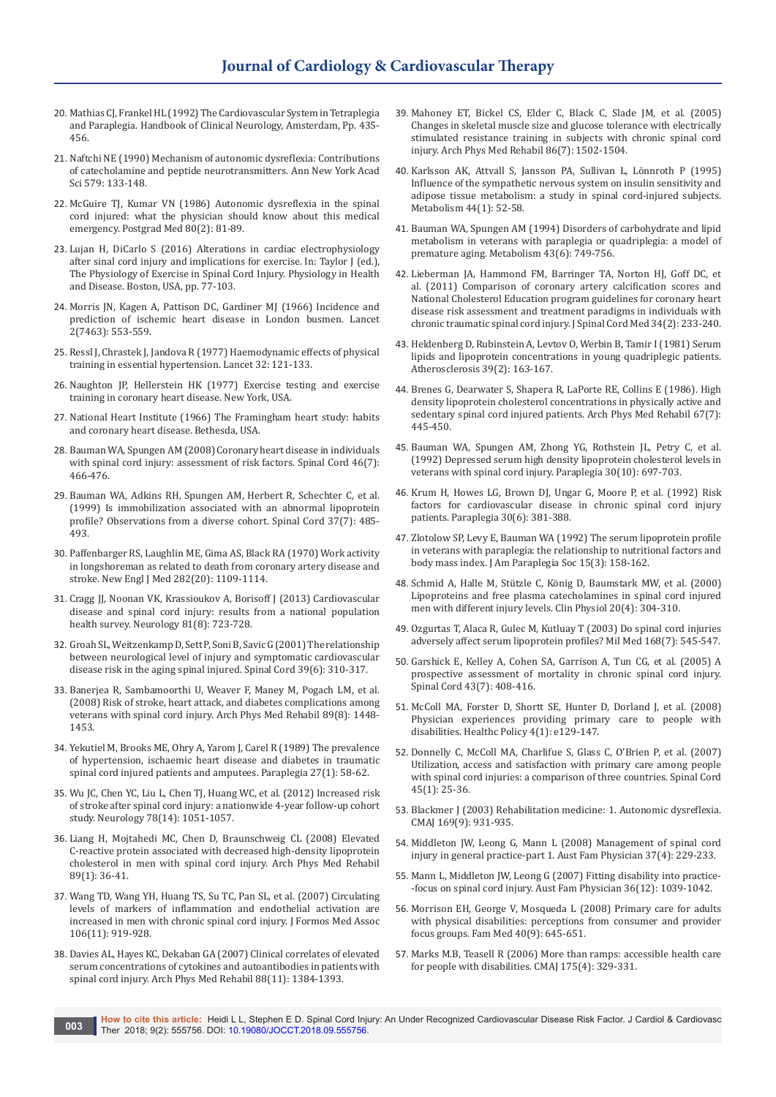- 20. Mathias CJ, Frankel HL (1992) The Cardiovascular System in Tetraplegia and Paraplegia. Handbook of Clinical Neurology, Amsterdam, Pp. 435- 456.
- 21. [Naftchi NE \(1990\) Mechanism of autonomic dysreflexia: Contributions](https://www.ncbi.nlm.nih.gov/pubmed/2186683)  [of catecholamine and peptide neurotransmitters. Ann New York Acad](https://www.ncbi.nlm.nih.gov/pubmed/2186683)  [Sci 579: 133-148.](https://www.ncbi.nlm.nih.gov/pubmed/2186683)
- 22. [McGuire TJ, Kumar VN \(1986\) Autonomic dysreflexia in the spinal](https://www.ncbi.nlm.nih.gov/pubmed/3737501)  [cord injured: what the physician should know about this medical](https://www.ncbi.nlm.nih.gov/pubmed/3737501)  [emergency. Postgrad Med 80\(2\): 81-89.](https://www.ncbi.nlm.nih.gov/pubmed/3737501)
- 23. Lujan H, DiCarlo S (2016) Alterations in cardiac electrophysiology after sinal cord injury and implications for exercise. In: Taylor J (ed.), The Physiology of Exercise in Spinal Cord Injury. Physiology in Health and Disease. Boston, USA, pp. 77-103.
- 24. [Morris JN, Kagen A, Pattison DC, Gardiner MJ \(1966\) Incidence and](https://www.ncbi.nlm.nih.gov/pubmed/4161611)  [prediction of ischemic heart disease in London busmen. Lancet](https://www.ncbi.nlm.nih.gov/pubmed/4161611)  [2\(7463\): 553-559.](https://www.ncbi.nlm.nih.gov/pubmed/4161611)
- 25. [Ressl J, Chrastek J, Jandova R \(1977\) Haemodynamic effects of physical](https://www.ncbi.nlm.nih.gov/pubmed/302073)  [training in essential hypertension. Lancet 32: 121-133.](https://www.ncbi.nlm.nih.gov/pubmed/302073)
- 26. Naughton JP, Hellerstein HK (1977) Exercise testing and exercise training in coronary heart disease. New York, USA.
- 27. National Heart Institute (1966) The Framingham heart study: habits and coronary heart disease. Bethesda, USA.
- 28. [Bauman WA, Spungen AM \(2008\) Coronary heart disease in individuals](https://www.ncbi.nlm.nih.gov/pubmed/18180789)  [with spinal cord injury: assessment of risk factors. Spinal Cord 46\(7\):](https://www.ncbi.nlm.nih.gov/pubmed/18180789)  [466-476.](https://www.ncbi.nlm.nih.gov/pubmed/18180789)
- 29. [Bauman WA, Adkins RH, Spungen AM, Herbert R, Schechter C, et al.](https://www.ncbi.nlm.nih.gov/pubmed/10438115)  [\(1999\) Is immobilization associated with an abnormal lipoprotein](https://www.ncbi.nlm.nih.gov/pubmed/10438115)  [profile? Observations from a diverse cohort. Spinal Cord 37\(7\): 485-](https://www.ncbi.nlm.nih.gov/pubmed/10438115) [493.](https://www.ncbi.nlm.nih.gov/pubmed/10438115)
- 30. [Paffenbarger RS, Laughlin ME, Gima AS, Black RA \(1970\) Work activity](https://www.ncbi.nlm.nih.gov/pubmed/5439408)  [in longshoreman as related to death from coronary artery disease and](https://www.ncbi.nlm.nih.gov/pubmed/5439408)  [stroke. New Engl J Med 282\(20\): 1109-1114.](https://www.ncbi.nlm.nih.gov/pubmed/5439408)
- 31. [Cragg JJ, Noonan VK, Krassioukov A, Borisoff J \(2013\) Cardiovascular](https://www.ncbi.nlm.nih.gov/pubmed/23884034)  [disease and spinal cord injury: results from a national population](https://www.ncbi.nlm.nih.gov/pubmed/23884034)  [health survey. Neurology 81\(8\): 723-728.](https://www.ncbi.nlm.nih.gov/pubmed/23884034)
- 32. [Groah SL, Weitzenkamp D, Sett P, Soni B, Savic G \(2001\) The relationship](https://www.ncbi.nlm.nih.gov/pubmed/11438852)  [between neurological level of injury and symptomatic cardiovascular](https://www.ncbi.nlm.nih.gov/pubmed/11438852)  [disease risk in the aging spinal injured. Spinal Cord 39\(6\): 310-317.](https://www.ncbi.nlm.nih.gov/pubmed/11438852)
- 33. [Banerjea R, Sambamoorthi U, Weaver F, Maney M, Pogach LM, et al.](https://www.ncbi.nlm.nih.gov/pubmed/18674979)  [\(2008\) Risk of stroke, heart attack, and diabetes complications among](https://www.ncbi.nlm.nih.gov/pubmed/18674979)  [veterans with spinal cord injury. Arch Phys Med Rehabil 89\(8\): 1448-](https://www.ncbi.nlm.nih.gov/pubmed/18674979) [1453.](https://www.ncbi.nlm.nih.gov/pubmed/18674979)
- 34. [Yekutiel M, Brooks ME, Ohry A, Yarom J, Carel R \(1989\) The prevalence](https://www.ncbi.nlm.nih.gov/pubmed/2784200)  [of hypertension, ischaemic heart disease and diabetes in traumatic](https://www.ncbi.nlm.nih.gov/pubmed/2784200)  [spinal cord injured patients and amputees. Paraplegia 27\(1\): 58-62.](https://www.ncbi.nlm.nih.gov/pubmed/2784200)
- 35. [Wu JC, Chen YC, Liu L, Chen TJ, Huang WC, et al. \(2012\) Increased risk](https://www.ncbi.nlm.nih.gov/pubmed/22377807)  [of stroke after spinal cord injury: a nationwide 4-year follow-up cohort](https://www.ncbi.nlm.nih.gov/pubmed/22377807)  [study. Neurology 78\(14\): 1051-1057.](https://www.ncbi.nlm.nih.gov/pubmed/22377807)
- 36. [Liang H, Mojtahedi MC, Chen D, Braunschweig CL \(2008\) Elevated](https://www.ncbi.nlm.nih.gov/pubmed/18164328)  [C-reactive protein associated with decreased high-density lipoprotein](https://www.ncbi.nlm.nih.gov/pubmed/18164328)  [cholesterol in men with spinal cord injury. Arch Phys Med Rehabil](https://www.ncbi.nlm.nih.gov/pubmed/18164328)  [89\(1\): 36-41.](https://www.ncbi.nlm.nih.gov/pubmed/18164328)
- 37. [Wang TD, Wang YH, Huang TS, Su TC, Pan SL, et al. \(2007\) Circulating](https://www.ncbi.nlm.nih.gov/pubmed/18063513)  [levels of markers of inflammation and endothelial activation are](https://www.ncbi.nlm.nih.gov/pubmed/18063513)  [increased in men with chronic spinal cord injury. J Formos Med Assoc](https://www.ncbi.nlm.nih.gov/pubmed/18063513)  [106\(11\): 919-928.](https://www.ncbi.nlm.nih.gov/pubmed/18063513)
- 38. [Davies AL, Hayes KC, Dekaban GA \(2007\) Clinical correlates of elevated](https://www.ncbi.nlm.nih.gov/pubmed/17964877)  [serum concentrations of cytokines and autoantibodies in patients with](https://www.ncbi.nlm.nih.gov/pubmed/17964877)  [spinal cord injury. Arch Phys Med Rehabil 88\(11\): 1384-1393.](https://www.ncbi.nlm.nih.gov/pubmed/17964877)
- 39. [Mahoney ET, Bickel CS, Elder C, Black C, Slade JM, et al. \(2005\)](https://www.ncbi.nlm.nih.gov/pubmed/16003691)  [Changes in skeletal muscle size and glucose tolerance with electrically](https://www.ncbi.nlm.nih.gov/pubmed/16003691)  [stimulated resistance training in subjects with chronic spinal cord](https://www.ncbi.nlm.nih.gov/pubmed/16003691)  [injury. Arch Phys Med Rehabil 86\(7\): 1502-1504.](https://www.ncbi.nlm.nih.gov/pubmed/16003691)
- 40. [Karlsson AK, Attvall S, Jansson PA, Sullivan L, Lönnroth P \(1995\)](https://www.ncbi.nlm.nih.gov/pubmed/7854166)  [Influence of the sympathetic nervous system on insulin sensitivity and](https://www.ncbi.nlm.nih.gov/pubmed/7854166)  [adipose tissue metabolism: a study in spinal cord-injured subjects.](https://www.ncbi.nlm.nih.gov/pubmed/7854166)  [Metabolism 44\(1\): 52-58.](https://www.ncbi.nlm.nih.gov/pubmed/7854166)
- 41. [Bauman WA, Spungen AM \(1994\) Disorders of carbohydrate and lipid](https://www.ncbi.nlm.nih.gov/pubmed/8201966)  [metabolism in veterans with paraplegia or quadriplegia: a model of](https://www.ncbi.nlm.nih.gov/pubmed/8201966)  [premature aging. Metabolism 43\(6\): 749-756.](https://www.ncbi.nlm.nih.gov/pubmed/8201966)
- 42. [Lieberman JA, Hammond FM, Barringer TA, Norton HJ, Goff DC, et](https://www.ncbi.nlm.nih.gov/pubmed/21675362/)  [al. \(2011\) Comparison of coronary artery calcification scores and](https://www.ncbi.nlm.nih.gov/pubmed/21675362/)  [National Cholesterol Education program guidelines for coronary heart](https://www.ncbi.nlm.nih.gov/pubmed/21675362/)  [disease risk assessment and treatment paradigms in individuals with](https://www.ncbi.nlm.nih.gov/pubmed/21675362/)  [chronic traumatic spinal cord injury. J Spinal Cord Med 34\(2\): 233-240.](https://www.ncbi.nlm.nih.gov/pubmed/21675362/)
- 43. [Heldenberg D, Rubinstein A, Levtov O, Werbin B, Tamir I \(1981\) Serum](https://www.ncbi.nlm.nih.gov/pubmed/7247997)  [lipids and lipoprotein concentrations in young quadriplegic patients.](https://www.ncbi.nlm.nih.gov/pubmed/7247997)  [Atherosclerosis 39\(2\): 163-167.](https://www.ncbi.nlm.nih.gov/pubmed/7247997)
- 44. [Brenes G, Dearwater S, Shapera R, LaPorte RE, Collins E \(1986\). High](https://www.ncbi.nlm.nih.gov/pubmed/3729689)  [density lipoprotein cholesterol concentrations in physically active and](https://www.ncbi.nlm.nih.gov/pubmed/3729689)  [sedentary spinal cord injured patients. Arch Phys Med Rehabil 67\(7\):](https://www.ncbi.nlm.nih.gov/pubmed/3729689)  [445-450.](https://www.ncbi.nlm.nih.gov/pubmed/3729689)
- 45. [Bauman WA, Spungen AM, Zhong YG, Rothstein JL, Petry C, et al.](https://www.ncbi.nlm.nih.gov/pubmed/1448297)  [\(1992\) Depressed serum high density lipoprotein cholesterol levels in](https://www.ncbi.nlm.nih.gov/pubmed/1448297)  [veterans with spinal cord injury. Paraplegia 30\(10\): 697-703.](https://www.ncbi.nlm.nih.gov/pubmed/1448297)
- 46. [Krum H, Howes LG, Brown DJ, Ungar G, Moore P, et al. \(1992\) Risk](https://www.ncbi.nlm.nih.gov/pubmed/1635786)  [factors for cardiovascular disease in chronic spinal cord injury](https://www.ncbi.nlm.nih.gov/pubmed/1635786)  [patients. Paraplegia 30\(6\): 381-388.](https://www.ncbi.nlm.nih.gov/pubmed/1635786)
- 47. [Zlotolow SP, Levy E, Bauman WA \(1992\) The serum lipoprotein profile](https://www.ncbi.nlm.nih.gov/pubmed/1500941)  [in veterans with paraplegia: the relationship to nutritional factors and](https://www.ncbi.nlm.nih.gov/pubmed/1500941)  [body mass index. J Am Paraplegia Soc 15\(3\): 158-162.](https://www.ncbi.nlm.nih.gov/pubmed/1500941)
- 48. [Schmid A, Halle M, Stützle C, König D, Baumstark MW, et al. \(2000\)](https://www.ncbi.nlm.nih.gov/pubmed/10886263)  [Lipoproteins and free plasma catecholamines in spinal cord injured](https://www.ncbi.nlm.nih.gov/pubmed/10886263)  [men with different injury levels. Clin Physiol 20\(4\): 304-310.](https://www.ncbi.nlm.nih.gov/pubmed/10886263)
- 49. [Ozgurtas T, Alaca R, Gulec M, Kutluay T \(2003\) Do spinal cord injuries](https://www.ncbi.nlm.nih.gov/pubmed/12901464)  [adversely affect serum lipoprotein profiles? Mil Med 168\(7\): 545-547.](https://www.ncbi.nlm.nih.gov/pubmed/12901464)
- 50. [Garshick E, Kelley A, Cohen SA, Garrison A, Tun CG, et al. \(2005\) A](https://www.ncbi.nlm.nih.gov/pubmed/15711609)  [prospective assessment of mortality in chronic spinal cord injury.](https://www.ncbi.nlm.nih.gov/pubmed/15711609)  [Spinal Cord 43\(7\): 408-416.](https://www.ncbi.nlm.nih.gov/pubmed/15711609)
- 51. [McColl MA, Forster D, Shortt SE, Hunter D, Dorland J, et al. \(2008\)](https://www.ncbi.nlm.nih.gov/pubmed/19377334/)  [Physician experiences providing primary care to people with](https://www.ncbi.nlm.nih.gov/pubmed/19377334/)  [disabilities. Healthc Policy 4\(1\): e129-147.](https://www.ncbi.nlm.nih.gov/pubmed/19377334/)
- 52. [Donnelly C, McColl MA, Charlifue S, Glass C, O'Brien P, et al. \(2007\)](https://www.ncbi.nlm.nih.gov/pubmed/16733520)  [Utilization, access and satisfaction with primary care among people](https://www.ncbi.nlm.nih.gov/pubmed/16733520)  [with spinal cord injuries: a comparison of three countries. Spinal Cord](https://www.ncbi.nlm.nih.gov/pubmed/16733520)  [45\(1\): 25-36.](https://www.ncbi.nlm.nih.gov/pubmed/16733520)
- 53. Blackmer J (2003) Rehabilitation medicine: 1. Autonomic dysreflexia. CMAJ 169(9): 931-935.
- 54. [Middleton JW, Leong G, Mann L \(2008\) Management of spinal cord](https://www.ncbi.nlm.nih.gov/pubmed/18398518)  [injury in general practice-part 1. Aust Fam Physician 37\(4\): 229-233.](https://www.ncbi.nlm.nih.gov/pubmed/18398518)
- 55. [Mann L, Middleton JW, Leong G \(2007\) Fitting disability into practice-](https://www.ncbi.nlm.nih.gov/pubmed/18075631) [-focus on spinal cord injury. Aust Fam Physician 36\(12\): 1039-1042.](https://www.ncbi.nlm.nih.gov/pubmed/18075631)
- 56. [Morrison EH, George V, Mosqueda L \(2008\) Primary care for adults](https://www.ncbi.nlm.nih.gov/pubmed/18830840)  [with physical disabilities: perceptions from consumer and provider](https://www.ncbi.nlm.nih.gov/pubmed/18830840)  [focus groups. Fam Med 40\(9\): 645-651.](https://www.ncbi.nlm.nih.gov/pubmed/18830840)
- 57. Marks M.B, Teasell R (2006) More than ramps: accessible health care for people with disabilities. CMAJ 175(4): 329-331.